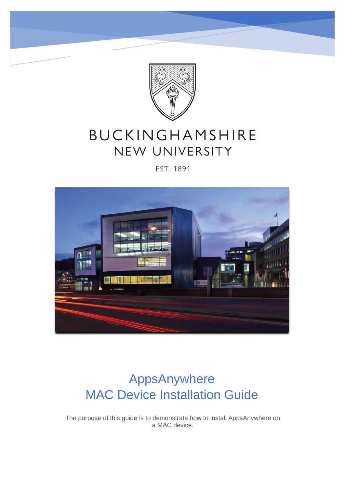

# BUCKINGHAMSHIRE NEW UNIVERSITY

#### EST. 1891



# AppsAnywhere MAC Device Installation Guide

 The purpose of this guide is to demonstrate how to install AppsAnywhere on a MAC device.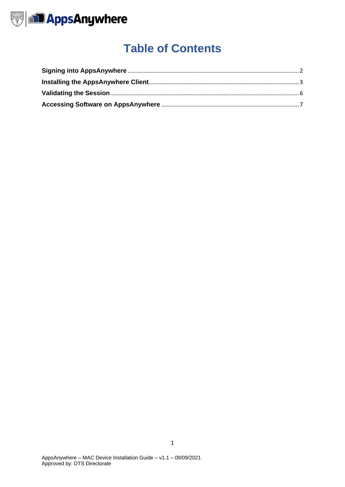

# **Table of Contents**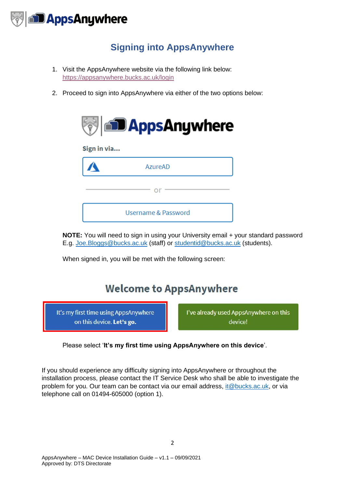

## **Signing into AppsAnywhere**

- <span id="page-2-0"></span>1. Visit the AppsAnywhere website via the following link below: <https://appsanywhere.bucks.ac.uk/login>
- 2. Proceed to sign into AppsAnywhere via either of the two options below:



**NOTE:** You will need to sign in using your University email + your standard password E.g. [Joe.Bloggs@bucks.ac.uk](mailto:Joe.Bloggs@bucks.ac.uk) (staff) or [studentid@bucks.ac.uk](mailto:studentid@bucks.ac.uk) (students).

When signed in, you will be met with the following screen:

# **Welcome to AppsAnywhere**

It's my first time using AppsAnywhere on this device. Let's go.

I've already used AppsAnywhere on this device!

Please select '**It's my first time using AppsAnywhere on this device**'.

If you should experience any difficulty signing into AppsAnywhere or throughout the installation process, please contact the IT Service Desk who shall be able to investigate the problem for you. Our team can be contact via our email address, [it@bucks.ac.uk,](mailto:it@bucks.ac.uk) or via telephone call on 01494-605000 (option 1).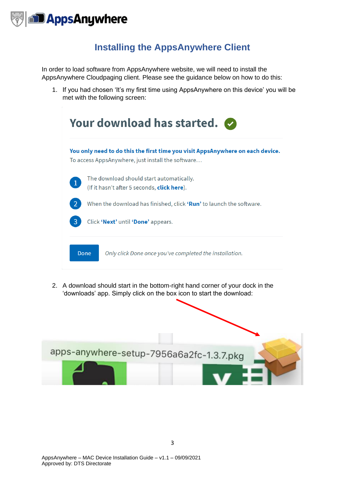

### **Installing the AppsAnywhere Client**

<span id="page-3-0"></span>In order to load software from AppsAnywhere website, we will need to install the AppsAnywhere Cloudpaging client. Please see the guidance below on how to do this:

1. If you had chosen 'It's my first time using AppsAnywhere on this device' you will be met with the following screen:

|              | You only need to do this the first time you visit AppsAnywhere on each device.<br>To access AppsAnywhere, just install the software |
|--------------|-------------------------------------------------------------------------------------------------------------------------------------|
| $\mathbf{1}$ | The download should start automatically.<br>(If it hasn't after 5 seconds, <b>click here</b> ).                                     |
|              | When the download has finished, click <b>Run'</b> to launch the software.                                                           |
| 3            | Click 'Next' until 'Done' appears.                                                                                                  |
|              | Only click Done once you've completed the installation.                                                                             |

2. A download should start in the bottom-right hand corner of your dock in the 'downloads' app. Simply click on the box icon to start the download:

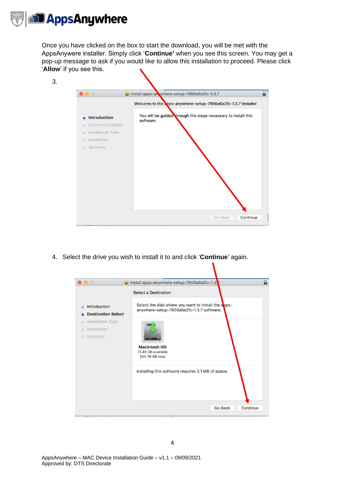

3.

Once you have clicked on the box to start the download, you will be met with the AppsAnywere installer. Simply click '**Continue'** when you see this screen. You may get a pop-up message to ask if you would like to allow this installation to proceed. Please click '**Allow**' if you see this.

| $\bullet\bullet\circ$                       | Clinstall apps-an where-setup-7956a6a2fc-1.3.7                             |
|---------------------------------------------|----------------------------------------------------------------------------|
|                                             | Welcome to the apps-anywhere-setup-7956a6a2fc-1.3.7 Installer              |
| <b>Introduction</b>                         | You will be guided hrough the steps necessary to install this<br>software. |
| <b>Destination Select</b><br>$\blacksquare$ |                                                                            |
| Installation Type<br>$\bullet$              |                                                                            |
| Installation<br>$\blacksquare$              |                                                                            |
| Summary<br>$\bullet$                        |                                                                            |
|                                             |                                                                            |
|                                             |                                                                            |
|                                             |                                                                            |
|                                             |                                                                            |
|                                             |                                                                            |
|                                             |                                                                            |
|                                             |                                                                            |
|                                             |                                                                            |

4. Select the drive you wish to install it to and click '**Continue**' again.

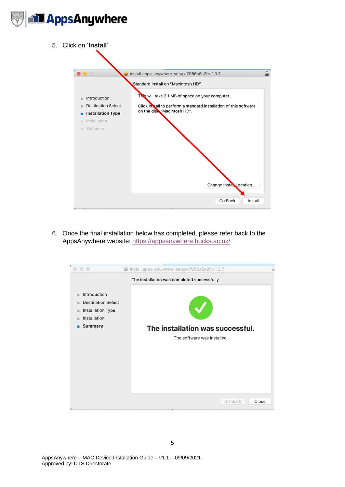

- Install apps-anywhere-setup-7956a6a2fc-1.3.7 Standard Install on "Macintosh HD" This will take 3.1 MB of space on your computer. Click Install to perform a standard installation of this software Change Install Location... Go Back Install
- 6. Once the final installation below has completed, please refer back to the AppsAnywhere website:<https://appsanywhere.bucks.ac.uk/>

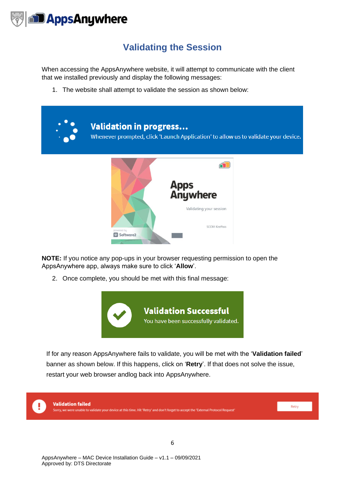

### **Validating the Session**

<span id="page-6-0"></span>When accessing the AppsAnywhere website, it will attempt to communicate with the client that we installed previously and display the following messages:

1. The website shall attempt to validate the session as shown below:



**NOTE:** If you notice any pop-ups in your browser requesting permission to open the AppsAnywhere app, always make sure to click '**Allow**'.

2. Once complete, you should be met with this final message:



If for any reason AppsAnywhere fails to validate, you will be met with the '**Validation failed**' banner as shown below. If this happens, click on '**Retry**'. If that does not solve the issue, restart your web browser andlog back into AppsAnywhere.

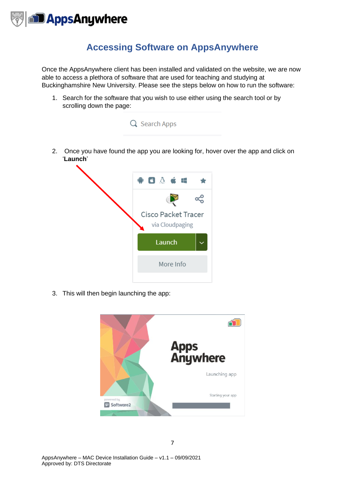

### **Accessing Software on AppsAnywhere**

<span id="page-7-0"></span>Once the AppsAnywhere client has been installed and validated on the website, we are now able to access a plethora of software that are used for teaching and studying at Buckinghamshire New University. Please see the steps below on how to run the software:

1. Search for the software that you wish to use either using the search tool or by scrolling down the page:



3. This will then begin launching the app: